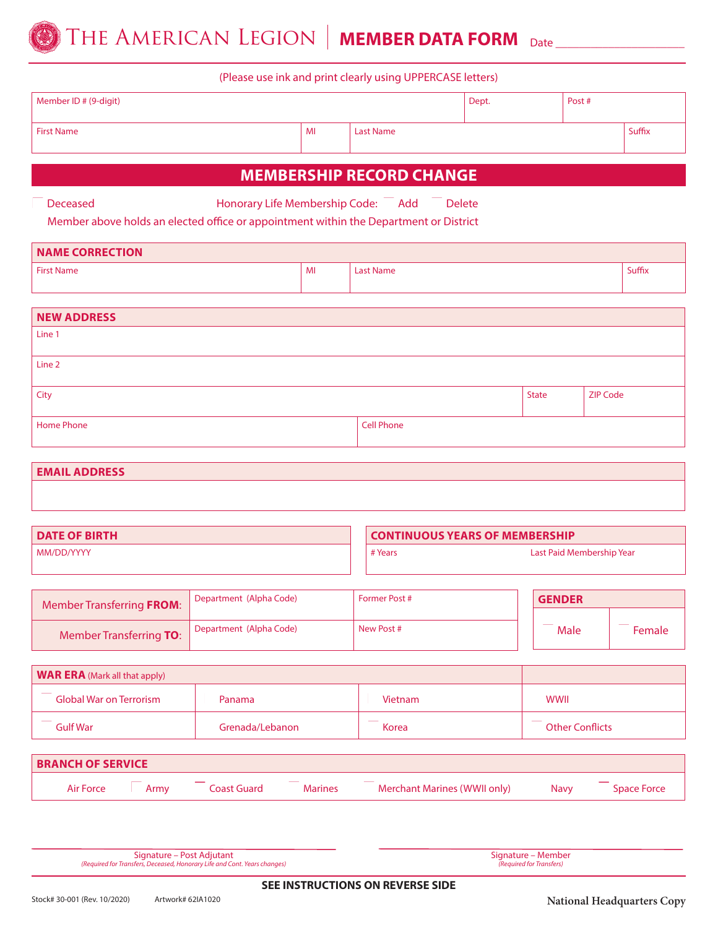

(Please use ink and print clearly using UPPERCASE letters)

| Member ID # (9-digit) |    |                  | Dept. | Post#  |  |
|-----------------------|----|------------------|-------|--------|--|
| First Name            | MI | <b>Last Name</b> |       | Suffix |  |

#### **MEMBERSHIP RECORD CHANGE**

Deceased Honorary Life Membership Code: Add Delete

Member above holds an elected office or appointment within the Department or District

| <b>NAME CORRECTION</b> |    |           |        |  |  |
|------------------------|----|-----------|--------|--|--|
| <b>First Name</b>      | MI | Last Name | Suffix |  |  |
|                        |    |           |        |  |  |

| NEW ADDRESS |                   |              |                 |
|-------------|-------------------|--------------|-----------------|
| Line 1      |                   |              |                 |
| Line 2      |                   |              |                 |
|             |                   |              |                 |
| City        |                   | <b>State</b> | <b>ZIP Code</b> |
|             |                   |              |                 |
| Home Phone  | <b>Cell Phone</b> |              |                 |
|             |                   |              |                 |

**EMAIL ADDRESS**

| <b>DATE OF BIRTH</b> |         | <b>CONTINUOUS YEARS OF MEMBERSHIP</b> |
|----------------------|---------|---------------------------------------|
| MM/DD/YYYY           | # Years | Last Paid Membership Year             |

| Member Transferring FROM: | <sup>1</sup> Department (Alpha Code) | <b>Former Post #</b> | <b>GENDER</b> |      |        |
|---------------------------|--------------------------------------|----------------------|---------------|------|--------|
| Member Transferring TO:   | Department (Alpha Code)              | New Post #           |               | Male | Female |
|                           |                                      |                      |               |      |        |

| <b>WAR ERA</b> (Mark all that apply) |                 |         |                        |  |
|--------------------------------------|-----------------|---------|------------------------|--|
| <b>Global War on Terrorism</b>       | Panama          | Vietnam | <b>WWII</b>            |  |
| <b>Gulf War</b>                      | Grenada/Lebanon | Korea   | <b>Other Conflicts</b> |  |

| <b>BRANCH OF SERVICE</b> |      |             |                |                              |             |             |
|--------------------------|------|-------------|----------------|------------------------------|-------------|-------------|
| Air Force                | Armv | Coast Guard | <b>Marines</b> | Merchant Marines (WWII only) | <b>Navy</b> | Space Force |

Signature – Post Adjutant

Signature – Member *(Required for Transfers)*

*(Required for Transfers, Deceased, Honorary Life and Cont. Years changes)*